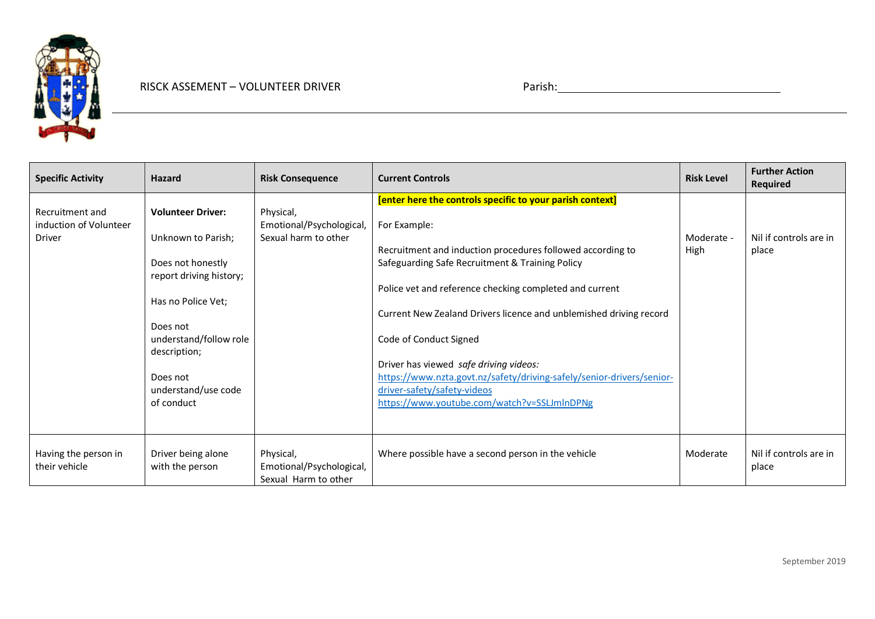

| <b>Specific Activity</b>                                   | <b>Hazard</b>                                                                                                                                                                                                               | <b>Risk Consequence</b>                                       | <b>Current Controls</b>                                                                                                                                                                                                                                                                                                                                                                                                                                                                                                                                | <b>Risk Level</b>  | <b>Further Action</b><br><b>Required</b> |
|------------------------------------------------------------|-----------------------------------------------------------------------------------------------------------------------------------------------------------------------------------------------------------------------------|---------------------------------------------------------------|--------------------------------------------------------------------------------------------------------------------------------------------------------------------------------------------------------------------------------------------------------------------------------------------------------------------------------------------------------------------------------------------------------------------------------------------------------------------------------------------------------------------------------------------------------|--------------------|------------------------------------------|
| Recruitment and<br>induction of Volunteer<br><b>Driver</b> | <b>Volunteer Driver:</b><br>Unknown to Parish;<br>Does not honestly<br>report driving history;<br>Has no Police Vet;<br>Does not<br>understand/follow role<br>description;<br>Does not<br>understand/use code<br>of conduct | Physical,<br>Emotional/Psychological,<br>Sexual harm to other | [enter here the controls specific to your parish context]<br>For Example:<br>Recruitment and induction procedures followed according to<br>Safeguarding Safe Recruitment & Training Policy<br>Police vet and reference checking completed and current<br>Current New Zealand Drivers licence and unblemished driving record<br>Code of Conduct Signed<br>Driver has viewed safe driving videos:<br>https://www.nzta.govt.nz/safety/driving-safely/senior-drivers/senior-<br>driver-safety/safety-videos<br>https://www.youtube.com/watch?v=SSLJmInDPNg | Moderate -<br>High | Nil if controls are in<br>place          |
| Having the person in<br>their vehicle                      | Driver being alone<br>with the person                                                                                                                                                                                       | Physical,<br>Emotional/Psychological,<br>Sexual Harm to other | Where possible have a second person in the vehicle                                                                                                                                                                                                                                                                                                                                                                                                                                                                                                     | Moderate           | Nil if controls are in<br>place          |